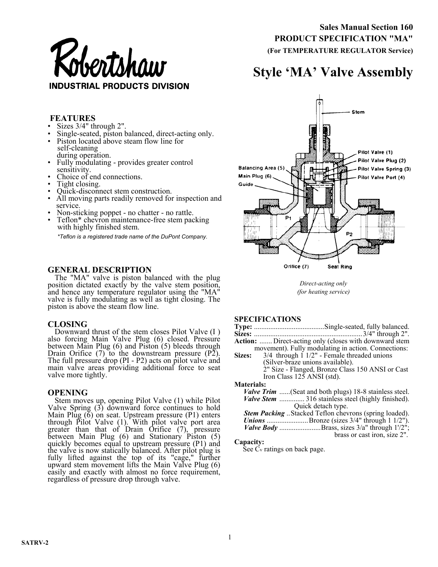

 **Sales Manual Section 160 PRODUCT SPECIFICATION "MA" (For TEMPERATURE REGULATOR Service)** 

# **Style 'MA' Valve Assembly**

## **FEATURES**

- Sizes 3/4" through 2".
- Single-seated, piston balanced, direct-acting only.
- Piston located above steam flow line for self-cleaning during operation.
- Fully modulating provides greater control sensitivity.
- Choice of end connections.
- Tight closing.
- Quick-disconnect stem construction.
- All moving parts readily removed for inspection and service.
- Non-sticking poppet no chatter no rattle.
- Teflon<sup>\*</sup> chevron maintenance-free stem packing with highly finished stem.

*\*Teflon is a registered trade name of the DuPont Company.* 

## **GENERAL DESCRIPTION**

The "MA" valve is piston balanced with the plug position dictated exactly by the valve stem position, and hence any temperature regulator using the "MA" valve is fully modulating as well as tight closing. The piston is above the steam flow line.

#### **CLOSING**

Downward thrust of the stem closes Pilot Valve (I ) also forcing Main Valve Plug (6) closed. Pressure between Main Plug (6) and Piston (5) bleeds through Drain Orifice  $(7)$  to the downstream pressure  $(P\tilde{2})$ . The full pressure drop (PI - P2) acts on pilot valve and main valve areas providing additional force to seat valve more tightly.

#### **OPENING**

Stem moves up, opening Pilot Valve (1) while Pilot Valve Spring  $(3)$  downward force continues to hold Main Plug  $(6)$  on seat. Upstream pressure  $(P1)$  enters through Pilot Valve (1). With pilot valve port area greater than that of Drain Orifice (7), pressure between Main Plug (6) and Stationary Piston (5) quickly becomes equal to upstream pressure (P1) and the valve is now statically balanced. After pilot plug is fully lifted against the top of its "cage," further upward stem movement lifts the Main Valve Plug (6) easily and exactly with almost no force requirement, regardless of pressure drop through valve.



*Direct-acting only (for heating service)* 

# **SPECIFICATIONS**

|                   | SPECIFICATIONS                                                |
|-------------------|---------------------------------------------------------------|
|                   |                                                               |
|                   |                                                               |
|                   | <b>Action:</b> Direct-acting only (closes with downward stem  |
|                   | movement). Fully modulating in action. Connections:           |
| <b>Sizes:</b>     | $3/4$ through 1 $1/2$ " - Female threaded unions              |
|                   | (Silver-braze unions available).                              |
|                   | 2" Size - Flanged, Bronze Class 150 ANSI or Cast              |
|                   | Iron Class $125$ ANSI (std).                                  |
| <b>Materials:</b> |                                                               |
|                   | <i>Valve Trim</i> (Seat and both plugs) 18-8 stainless steel. |
|                   | <i>Valve Stem </i> 316 stainless steel (highly finished).     |
|                   | Quick detach type.                                            |
|                   | <b>Stem Packing</b> Stacked Teflon chevrons (spring loaded).  |
|                   | <b>Unions</b> Bronze (sizes 3/4" through 1 1/2").             |
|                   | <i>Valve Body</i> Brass, sizes 3/a" through 1'/2";            |
|                   | brass or cast iron, size 2".                                  |

#### **Capacity:**

See Cv ratings on back page.